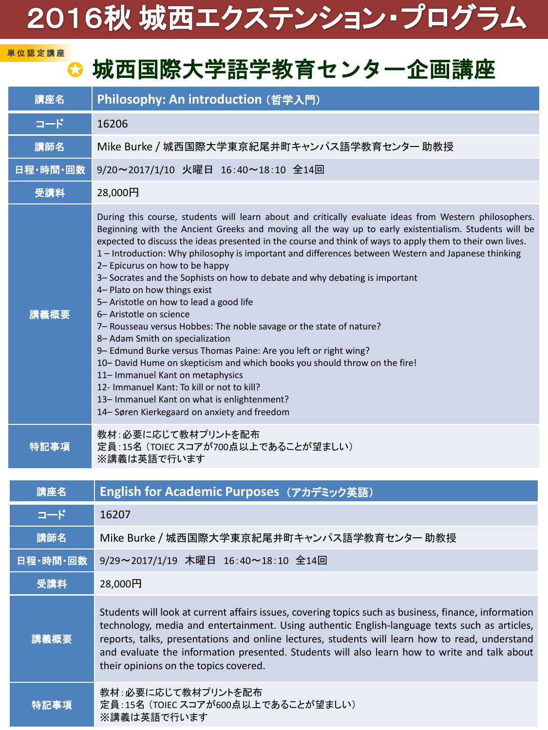## 2016秋 城西エクステンション・プログラム

## ● 城西国際大学語学教育センター企画講座

単 位 認 定 講 座

| 講座名      | Philosophy: An introduction (哲学入門)                                                                                                                                                                                                                                                                                                                                                                                                                                                                                                                                                                                                                                                                                                                                                                                                                                                                                                                                                                                                                                                                      |
|----------|---------------------------------------------------------------------------------------------------------------------------------------------------------------------------------------------------------------------------------------------------------------------------------------------------------------------------------------------------------------------------------------------------------------------------------------------------------------------------------------------------------------------------------------------------------------------------------------------------------------------------------------------------------------------------------------------------------------------------------------------------------------------------------------------------------------------------------------------------------------------------------------------------------------------------------------------------------------------------------------------------------------------------------------------------------------------------------------------------------|
| コード      | 16206                                                                                                                                                                                                                                                                                                                                                                                                                                                                                                                                                                                                                                                                                                                                                                                                                                                                                                                                                                                                                                                                                                   |
| 講師名      | Mike Burke / 城西国際大学東京紀尾井町キャンパス語学教育センター 助教授                                                                                                                                                                                                                                                                                                                                                                                                                                                                                                                                                                                                                                                                                                                                                                                                                                                                                                                                                                                                                                                              |
| 日程·時間·回数 | 9/20~2017/1/10 火曜日 16:40~18:10 全14回                                                                                                                                                                                                                                                                                                                                                                                                                                                                                                                                                                                                                                                                                                                                                                                                                                                                                                                                                                                                                                                                     |
| 受講料      | 28,000円                                                                                                                                                                                                                                                                                                                                                                                                                                                                                                                                                                                                                                                                                                                                                                                                                                                                                                                                                                                                                                                                                                 |
| 講義概要     | During this course, students will learn about and critically evaluate ideas from Western philosophers.<br>Beginning with the Ancient Greeks and moving all the way up to early existentialism. Students will be<br>expected to discuss the ideas presented in the course and think of ways to apply them to their own lives.<br>1 - Introduction: Why philosophy is important and differences between Western and Japanese thinking<br>2- Epicurus on how to be happy<br>3- Socrates and the Sophists on how to debate and why debating is important<br>4- Plato on how things exist<br>5- Aristotle on how to lead a good life<br>6- Aristotle on science<br>7- Rousseau versus Hobbes: The noble savage or the state of nature?<br>8- Adam Smith on specialization<br>9- Edmund Burke versus Thomas Paine: Are you left or right wing?<br>10- David Hume on skepticism and which books you should throw on the fire!<br>11- Immanuel Kant on metaphysics<br>12- Immanuel Kant: To kill or not to kill?<br>13- Immanuel Kant on what is enlightenment?<br>14- Søren Kierkegaard on anxiety and freedom |
| 特記事項     | 教材:必要に応じて教材プリントを配布<br>定員:15名 (TOIEC スコアが700点以上であることが望ましい)<br>※講義は英語で行います                                                                                                                                                                                                                                                                                                                                                                                                                                                                                                                                                                                                                                                                                                                                                                                                                                                                                                                                                                                                                                |
| 講座名      | English for Academic Purposes (アカデミック英語)                                                                                                                                                                                                                                                                                                                                                                                                                                                                                                                                                                                                                                                                                                                                                                                                                                                                                                                                                                                                                                                                |
| コード      | 16207                                                                                                                                                                                                                                                                                                                                                                                                                                                                                                                                                                                                                                                                                                                                                                                                                                                                                                                                                                                                                                                                                                   |
| 講師名      | Mike Burke / 城西国際大学東京紀尾井町キャンパス語学教育センター 助教授                                                                                                                                                                                                                                                                                                                                                                                                                                                                                                                                                                                                                                                                                                                                                                                                                                                                                                                                                                                                                                                              |
| 日程·時間·回数 | 9/29~2017/1/19 木曜日 16:40~18:10 全14回                                                                                                                                                                                                                                                                                                                                                                                                                                                                                                                                                                                                                                                                                                                                                                                                                                                                                                                                                                                                                                                                     |
| 受講料      | 28,000円                                                                                                                                                                                                                                                                                                                                                                                                                                                                                                                                                                                                                                                                                                                                                                                                                                                                                                                                                                                                                                                                                                 |
| 講義概要     | Students will look at current affairs issues, covering topics such as business, finance, information<br>technology, media and entertainment. Using authentic English-language texts such as articles,<br>reports, talks, presentations and online lectures, students will learn how to read, understand<br>and evaluate the information presented. Students will also learn how to write and talk about<br>their opinions on the topics covered.                                                                                                                                                                                                                                                                                                                                                                                                                                                                                                                                                                                                                                                        |
| 特記事項     | 教材:必要に応じて教材プリントを配布<br>定員:15名 (TOIEC スコアが600点以上であることが望ましい)<br>※講義は英語で行います                                                                                                                                                                                                                                                                                                                                                                                                                                                                                                                                                                                                                                                                                                                                                                                                                                                                                                                                                                                                                                |